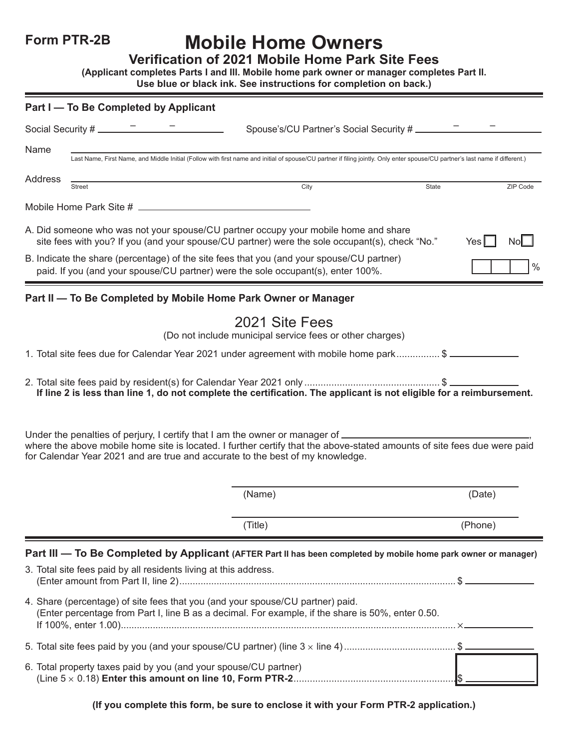### **Form PTR-2B**

# **Mobile Home Owners**

**Verification of 2021 Mobile Home Park Site Fees**

**(Applicant completes Parts I and III. Mobile home park owner or manager completes Part II.** 

| Use blue or black ink. See instructions for completion on back.) |  |  |  |
|------------------------------------------------------------------|--|--|--|
|------------------------------------------------------------------|--|--|--|

|         | Part I - To Be Completed by Applicant                                                                                                                                                                                                                                                             |         |               |
|---------|---------------------------------------------------------------------------------------------------------------------------------------------------------------------------------------------------------------------------------------------------------------------------------------------------|---------|---------------|
|         | Social Security # __________                                                                                                                                                                                                                                                                      |         |               |
| Name    | Last Name, First Name, and Middle Initial (Follow with first name and initial of spouse/CU partner if filing jointly. Only enter spouse/CU partner's last name if different.)                                                                                                                     |         |               |
| Address | City<br>State<br><b>Street</b>                                                                                                                                                                                                                                                                    |         | ZIP Code      |
|         |                                                                                                                                                                                                                                                                                                   |         |               |
|         | A. Did someone who was not your spouse/CU partner occupy your mobile home and share<br>site fees with you? If you (and your spouse/CU partner) were the sole occupant(s), check "No."                                                                                                             | Yes II  | NoL           |
|         | B. Indicate the share (percentage) of the site fees that you (and your spouse/CU partner)<br>paid. If you (and your spouse/CU partner) were the sole occupant(s), enter 100%.                                                                                                                     |         | $\frac{0}{0}$ |
|         | Part II - To Be Completed by Mobile Home Park Owner or Manager                                                                                                                                                                                                                                    |         |               |
|         | 2021 Site Fees<br>(Do not include municipal service fees or other charges)                                                                                                                                                                                                                        |         |               |
|         | 1. Total site fees due for Calendar Year 2021 under agreement with mobile home park\$                                                                                                                                                                                                             |         |               |
|         | If line 2 is less than line 1, do not complete the certification. The applicant is not eligible for a reimbursement.                                                                                                                                                                              |         |               |
|         | Under the penalties of perjury, I certify that I am the owner or manager of _________<br>where the above mobile home site is located. I further certify that the above-stated amounts of site fees due were paid<br>for Calendar Year 2021 and are true and accurate to the best of my knowledge. |         |               |
|         | (Name)                                                                                                                                                                                                                                                                                            | (Date)  |               |
|         | (Title)                                                                                                                                                                                                                                                                                           | (Phone) |               |
|         | Part III - To Be Completed by Applicant (AFTER Part II has been completed by mobile home park owner or manager)<br>3. Total site fees paid by all residents living at this address.                                                                                                               |         |               |
|         | 4. Share (percentage) of site fees that you (and your spouse/CU partner) paid.<br>(Enter percentage from Part I, line B as a decimal. For example, if the share is 50%, enter 0.50.                                                                                                               |         |               |
|         | 5. Total site fees paid by you (and your spouse/CU partner) (line 3 x line 4) \$                                                                                                                                                                                                                  |         |               |
|         | 6. Total property taxes paid by you (and your spouse/CU partner)                                                                                                                                                                                                                                  |         |               |

**(If you complete this form, be sure to enclose it with your Form PTR-2 application.)**